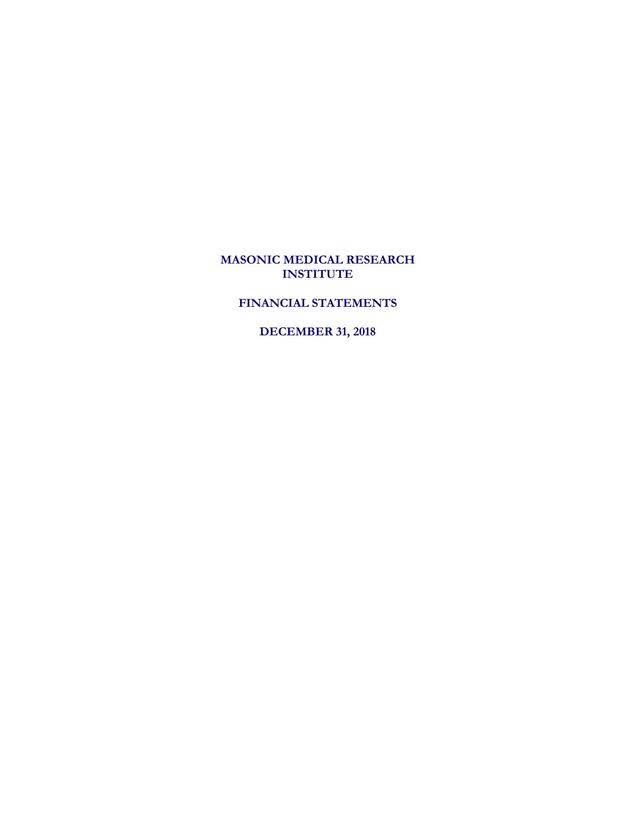# **FINANCIAL STATEMENTS**

**DECEMBER 31, 2018**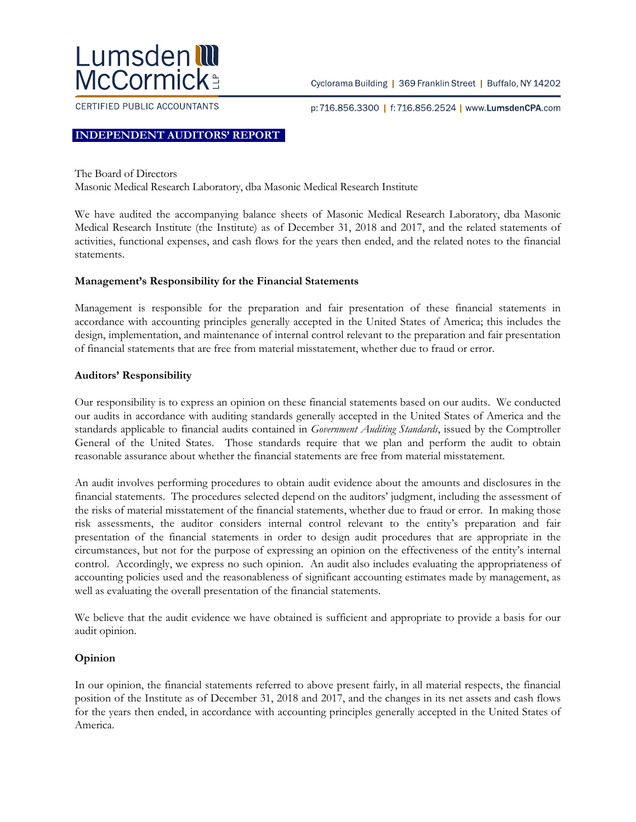

Cyclorama Building | 369 Franklin Street | Buffalo, NY 14202

CERTIFIED PUBLIC ACCOUNTANTS

p:716.856.3300 | f:716.856.2524 | www.LumsdenCPA.com

## **INDEPENDENT AUDITORS' REPORT**

The Board of Directors Masonic Medical Research Laboratory, dba Masonic Medical Research Institute

We have audited the accompanying balance sheets of Masonic Medical Research Laboratory, dba Masonic Medical Research Institute (the Institute) as of December 31, 2018 and 2017, and the related statements of activities, functional expenses, and cash flows for the years then ended, and the related notes to the financial statements.

# **Management's Responsibility for the Financial Statements**

Management is responsible for the preparation and fair presentation of these financial statements in accordance with accounting principles generally accepted in the United States of America; this includes the design, implementation, and maintenance of internal control relevant to the preparation and fair presentation of financial statements that are free from material misstatement, whether due to fraud or error.

# **Auditors' Responsibility**

Our responsibility is to express an opinion on these financial statements based on our audits. We conducted our audits in accordance with auditing standards generally accepted in the United States of America and the standards applicable to financial audits contained in *Government Auditing Standards*, issued by the Comptroller General of the United States. Those standards require that we plan and perform the audit to obtain reasonable assurance about whether the financial statements are free from material misstatement.

An audit involves performing procedures to obtain audit evidence about the amounts and disclosures in the financial statements. The procedures selected depend on the auditors' judgment, including the assessment of the risks of material misstatement of the financial statements, whether due to fraud or error. In making those risk assessments, the auditor considers internal control relevant to the entity's preparation and fair presentation of the financial statements in order to design audit procedures that are appropriate in the circumstances, but not for the purpose of expressing an opinion on the effectiveness of the entity's internal control. Accordingly, we express no such opinion. An audit also includes evaluating the appropriateness of accounting policies used and the reasonableness of significant accounting estimates made by management, as well as evaluating the overall presentation of the financial statements.

We believe that the audit evidence we have obtained is sufficient and appropriate to provide a basis for our audit opinion.

# **Opinion**

In our opinion, the financial statements referred to above present fairly, in all material respects, the financial position of the Institute as of December 31, 2018 and 2017, and the changes in its net assets and cash flows for the years then ended, in accordance with accounting principles generally accepted in the United States of America.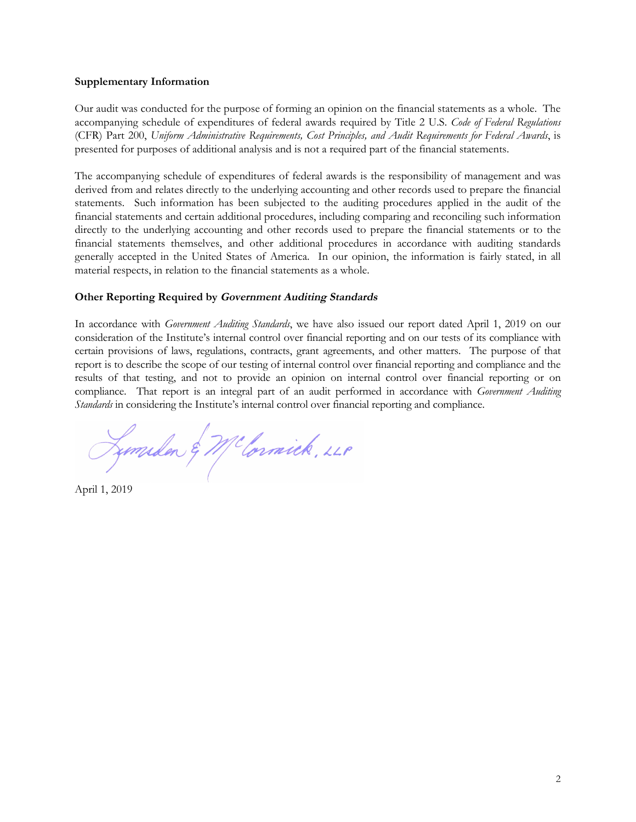# **Supplementary Information**

Our audit was conducted for the purpose of forming an opinion on the financial statements as a whole. The accompanying schedule of expenditures of federal awards required by Title 2 U.S. *Code of Federal Regulations*  (CFR) Part 200, *Uniform Administrative Requirements, Cost Principles, and Audit Requirements for Federal Awards*, is presented for purposes of additional analysis and is not a required part of the financial statements.

The accompanying schedule of expenditures of federal awards is the responsibility of management and was derived from and relates directly to the underlying accounting and other records used to prepare the financial statements. Such information has been subjected to the auditing procedures applied in the audit of the financial statements and certain additional procedures, including comparing and reconciling such information directly to the underlying accounting and other records used to prepare the financial statements or to the financial statements themselves, and other additional procedures in accordance with auditing standards generally accepted in the United States of America. In our opinion, the information is fairly stated, in all material respects, in relation to the financial statements as a whole.

# **Other Reporting Required by Government Auditing Standards**

In accordance with *Government Auditing Standards*, we have also issued our report dated April 1, 2019 on our consideration of the Institute's internal control over financial reporting and on our tests of its compliance with certain provisions of laws, regulations, contracts, grant agreements, and other matters. The purpose of that report is to describe the scope of our testing of internal control over financial reporting and compliance and the results of that testing, and not to provide an opinion on internal control over financial reporting or on compliance. That report is an integral part of an audit performed in accordance with *Government Auditing Standards* in considering the Institute's internal control over financial reporting and compliance.

Symulen & McCornick, 228

April 1, 2019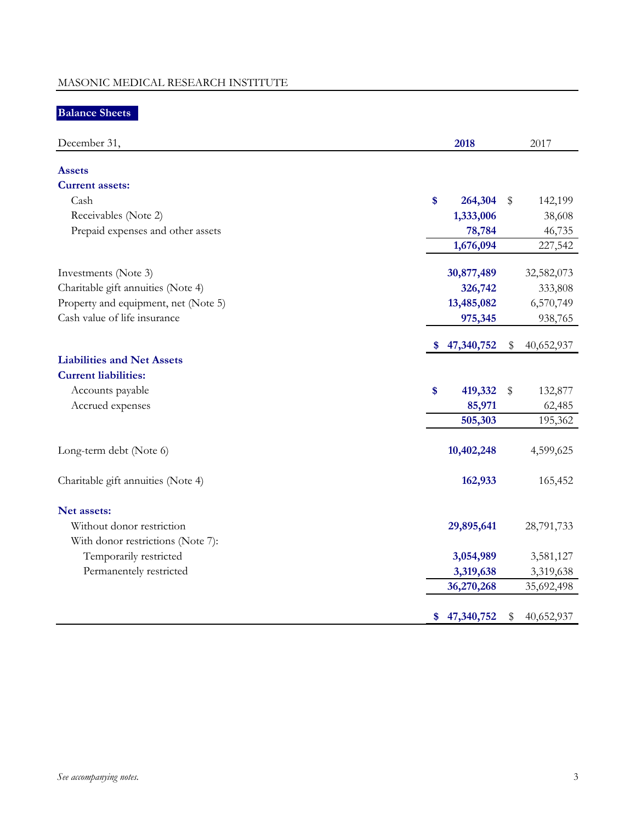# **Balance Sheets**

| December 31,                         |    | 2018       | 2017             |
|--------------------------------------|----|------------|------------------|
| <b>Assets</b>                        |    |            |                  |
| <b>Current assets:</b>               |    |            |                  |
| Cash                                 | \$ | 264,304    | \$<br>142,199    |
| Receivables (Note 2)                 |    | 1,333,006  | 38,608           |
| Prepaid expenses and other assets    |    | 78,784     | 46,735           |
|                                      |    | 1,676,094  | 227,542          |
|                                      |    |            |                  |
| Investments (Note 3)                 |    | 30,877,489 | 32,582,073       |
| Charitable gift annuities (Note 4)   |    | 326,742    | 333,808          |
| Property and equipment, net (Note 5) |    | 13,485,082 | 6,570,749        |
| Cash value of life insurance         |    | 975,345    | 938,765          |
|                                      |    |            |                  |
|                                      | S. | 47,340,752 | \$<br>40,652,937 |
| <b>Liabilities and Net Assets</b>    |    |            |                  |
| <b>Current liabilities:</b>          |    |            |                  |
| Accounts payable                     | \$ | 419,332    | \$<br>132,877    |
| Accrued expenses                     |    | 85,971     | 62,485           |
|                                      |    | 505,303    | 195,362          |
|                                      |    |            |                  |
| Long-term debt (Note 6)              |    | 10,402,248 | 4,599,625        |
|                                      |    |            |                  |
| Charitable gift annuities (Note 4)   |    | 162,933    | 165,452          |
|                                      |    |            |                  |
| Net assets:                          |    |            |                  |
| Without donor restriction            |    | 29,895,641 | 28,791,733       |
| With donor restrictions (Note 7):    |    |            |                  |
| Temporarily restricted               |    | 3,054,989  | 3,581,127        |
| Permanentely restricted              |    | 3,319,638  | 3,319,638        |
|                                      |    | 36,270,268 | 35,692,498       |
|                                      | \$ | 47,340,752 | \$<br>40,652,937 |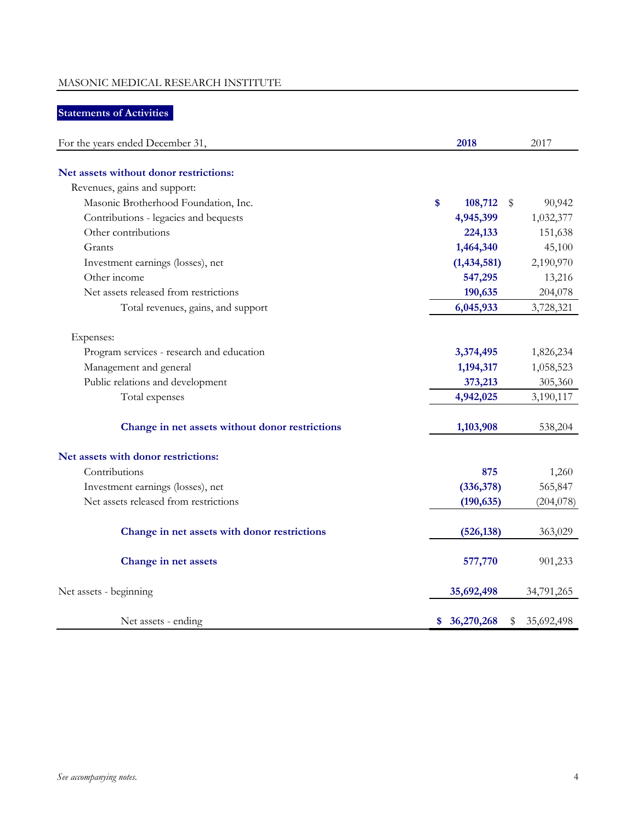# **Statements of Activities**

| For the years ended December 31,                | 2018             | 2017             |
|-------------------------------------------------|------------------|------------------|
| Net assets without donor restrictions:          |                  |                  |
| Revenues, gains and support:                    |                  |                  |
| Masonic Brotherhood Foundation, Inc.            | 108,712<br>\$    | 90,942<br>\$     |
| Contributions - legacies and bequests           | 4,945,399        | 1,032,377        |
| Other contributions                             | 224,133          | 151,638          |
| Grants                                          | 1,464,340        | 45,100           |
| Investment earnings (losses), net               | (1, 434, 581)    | 2,190,970        |
| Other income                                    | 547,295          | 13,216           |
| Net assets released from restrictions           | 190,635          | 204,078          |
| Total revenues, gains, and support              | 6,045,933        | 3,728,321        |
| Expenses:                                       |                  |                  |
| Program services - research and education       | 3,374,495        | 1,826,234        |
| Management and general                          | 1,194,317        | 1,058,523        |
| Public relations and development                | 373,213          | 305,360          |
| Total expenses                                  | 4,942,025        | 3,190,117        |
| Change in net assets without donor restrictions | 1,103,908        | 538,204          |
| Net assets with donor restrictions:             |                  |                  |
| Contributions                                   | 875              | 1,260            |
| Investment earnings (losses), net               | (336,378)        | 565,847          |
| Net assets released from restrictions           | (190, 635)       | (204, 078)       |
| Change in net assets with donor restrictions    | (526, 138)       | 363,029          |
| Change in net assets                            | 577,770          | 901,233          |
| Net assets - beginning                          | 35,692,498       | 34,791,265       |
| Net assets - ending                             | 36,270,268<br>\$ | 35,692,498<br>\$ |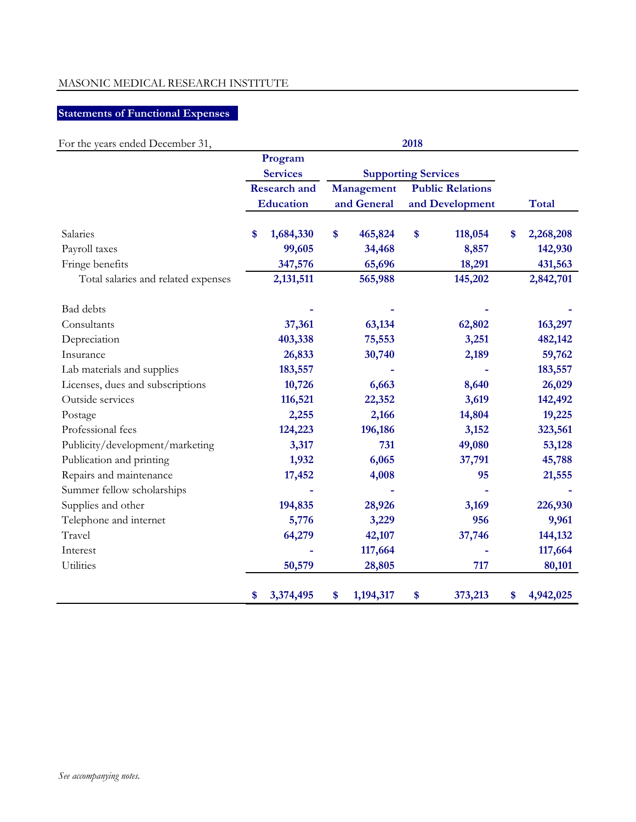# **Statements of Functional Expenses**

| For the years ended December 31,    | 2018 |                     |    |                            |    |                         |                 |
|-------------------------------------|------|---------------------|----|----------------------------|----|-------------------------|-----------------|
|                                     |      | Program             |    |                            |    |                         |                 |
|                                     |      | <b>Services</b>     |    | <b>Supporting Services</b> |    |                         |                 |
|                                     |      | <b>Research and</b> |    | <b>Management</b>          |    | <b>Public Relations</b> |                 |
|                                     |      | <b>Education</b>    |    | and General                |    | and Development         | <b>Total</b>    |
| Salaries                            | \$   | 1,684,330           | \$ | 465,824                    | \$ | 118,054                 | \$<br>2,268,208 |
| Payroll taxes                       |      | 99,605              |    | 34,468                     |    | 8,857                   | 142,930         |
| Fringe benefits                     |      | 347,576             |    | 65,696                     |    | 18,291                  | 431,563         |
| Total salaries and related expenses |      | 2,131,511           |    | 565,988                    |    | 145,202                 | 2,842,701       |
| Bad debts                           |      |                     |    |                            |    |                         |                 |
| Consultants                         |      | 37,361              |    | 63,134                     |    | 62,802                  | 163,297         |
| Depreciation                        |      | 403,338             |    | 75,553                     |    | 3,251                   | 482,142         |
| Insurance                           |      | 26,833              |    | 30,740                     |    | 2,189                   | 59,762          |
| Lab materials and supplies          |      | 183,557             |    |                            |    |                         | 183,557         |
| Licenses, dues and subscriptions    |      | 10,726              |    | 6,663                      |    | 8,640                   | 26,029          |
| Outside services                    |      | 116,521             |    | 22,352                     |    | 3,619                   | 142,492         |
| Postage                             |      | 2,255               |    | 2,166                      |    | 14,804                  | 19,225          |
| Professional fees                   |      | 124,223             |    | 196,186                    |    | 3,152                   | 323,561         |
| Publicity/development/marketing     |      | 3,317               |    | 731                        |    | 49,080                  | 53,128          |
| Publication and printing            |      | 1,932               |    | 6,065                      |    | 37,791                  | 45,788          |
| Repairs and maintenance             |      | 17,452              |    | 4,008                      |    | 95                      | 21,555          |
| Summer fellow scholarships          |      |                     |    |                            |    |                         |                 |
| Supplies and other                  |      | 194,835             |    | 28,926                     |    | 3,169                   | 226,930         |
| Telephone and internet              |      | 5,776               |    | 3,229                      |    | 956                     | 9,961           |
| Travel                              |      | 64,279              |    | 42,107                     |    | 37,746                  | 144,132         |
| Interest                            |      |                     |    | 117,664                    |    |                         | 117,664         |
| Utilities                           |      | 50,579              |    | 28,805                     |    | 717                     | 80,101          |
|                                     | \$   | 3,374,495           | \$ | 1,194,317                  | \$ | 373,213                 | \$<br>4,942,025 |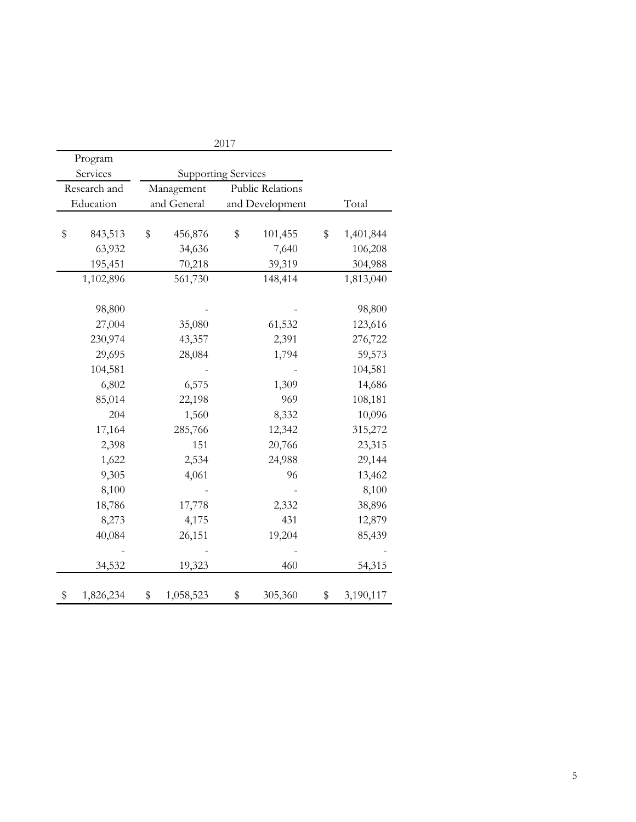|                 |    |                                | 2017 |                 |                 |
|-----------------|----|--------------------------------|------|-----------------|-----------------|
| Program         |    |                                |      |                 |                 |
| Services        |    | <b>Supporting Services</b>     |      |                 |                 |
| Research and    |    | Management<br>Public Relations |      |                 |                 |
| Education       |    | and General                    |      | and Development | Total           |
|                 |    |                                |      |                 |                 |
| \$<br>843,513   | \$ | 456,876                        | \$   | 101,455         | \$<br>1,401,844 |
| 63,932          |    | 34,636                         |      | 7,640           | 106,208         |
| 195,451         |    | 70,218                         |      | 39,319          | 304,988         |
| 1,102,896       |    | 561,730                        |      | 148,414         | 1,813,040       |
|                 |    |                                |      |                 |                 |
| 98,800          |    |                                |      |                 | 98,800          |
| 27,004          |    | 35,080                         |      | 61,532          | 123,616         |
| 230,974         |    | 43,357                         |      | 2,391           | 276,722         |
| 29,695          |    | 28,084                         |      | 1,794           | 59,573          |
| 104,581         |    |                                |      |                 | 104,581         |
| 6,802           |    | 6,575                          |      | 1,309           | 14,686          |
| 85,014          |    | 22,198                         |      | 969             | 108,181         |
| 204             |    | 1,560                          |      | 8,332           | 10,096          |
| 17,164          |    | 285,766                        |      | 12,342          | 315,272         |
| 2,398           |    | 151                            |      | 20,766          | 23,315          |
| 1,622           |    | 2,534                          |      | 24,988          | 29,144          |
| 9,305           |    | 4,061                          |      | 96              | 13,462          |
| 8,100           |    |                                |      |                 | 8,100           |
| 18,786          |    | 17,778                         |      | 2,332           | 38,896          |
| 8,273           |    | 4,175                          |      | 431             | 12,879          |
| 40,084          |    | 26,151                         |      | 19,204          | 85,439          |
|                 |    |                                |      |                 |                 |
| 34,532          |    | 19,323                         |      | 460             | 54,315          |
|                 |    |                                |      |                 |                 |
| \$<br>1,826,234 | \$ | 1,058,523                      | \$   | 305,360         | \$<br>3,190,117 |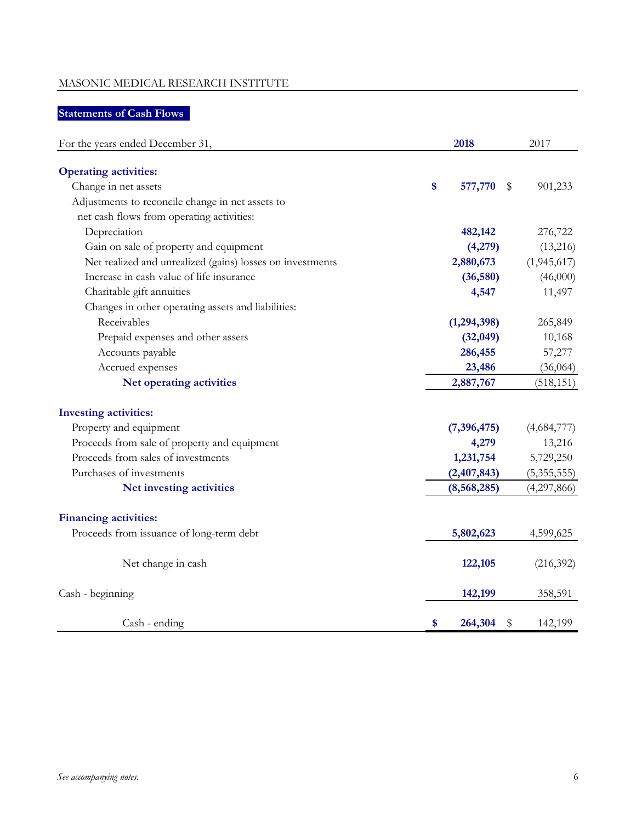# **Statements of Cash Flows**

| For the years ended December 31,                          | 2018          | 2017          |
|-----------------------------------------------------------|---------------|---------------|
| <b>Operating activities:</b>                              |               |               |
| Change in net assets                                      | \$<br>577,770 | \$<br>901,233 |
| Adjustments to reconcile change in net assets to          |               |               |
| net cash flows from operating activities:                 |               |               |
| Depreciation                                              | 482,142       | 276,722       |
| Gain on sale of property and equipment                    | (4,279)       | (13,216)      |
| Net realized and unrealized (gains) losses on investments | 2,880,673     | (1,945,617)   |
| Increase in cash value of life insurance                  | (36,580)      | (46,000)      |
| Charitable gift annuities                                 | 4,547         | 11,497        |
| Changes in other operating assets and liabilities:        |               |               |
| Receivables                                               | (1,294,398)   | 265,849       |
| Prepaid expenses and other assets                         | (32,049)      | 10,168        |
| Accounts payable                                          | 286,455       | 57,277        |
| Accrued expenses                                          | 23,486        | (36,064)      |
| Net operating activities                                  | 2,887,767     | (518, 151)    |
| Investing activities:                                     |               |               |
| Property and equipment                                    | (7,396,475)   | (4,684,777)   |
| Proceeds from sale of property and equipment              | 4,279         | 13,216        |
| Proceeds from sales of investments                        | 1,231,754     | 5,729,250     |
| Purchases of investments                                  | (2,407,843)   | (5,355,555)   |
| Net investing activities                                  | (8,568,285)   | (4,297,866)   |
|                                                           |               |               |
| <b>Financing activities:</b>                              |               |               |
| Proceeds from issuance of long-term debt                  | 5,802,623     | 4,599,625     |
| Net change in cash                                        | 122,105       | (216,392)     |
| Cash - beginning                                          | 142,199       | 358,591       |
| Cash - ending                                             | \$<br>264,304 | \$<br>142,199 |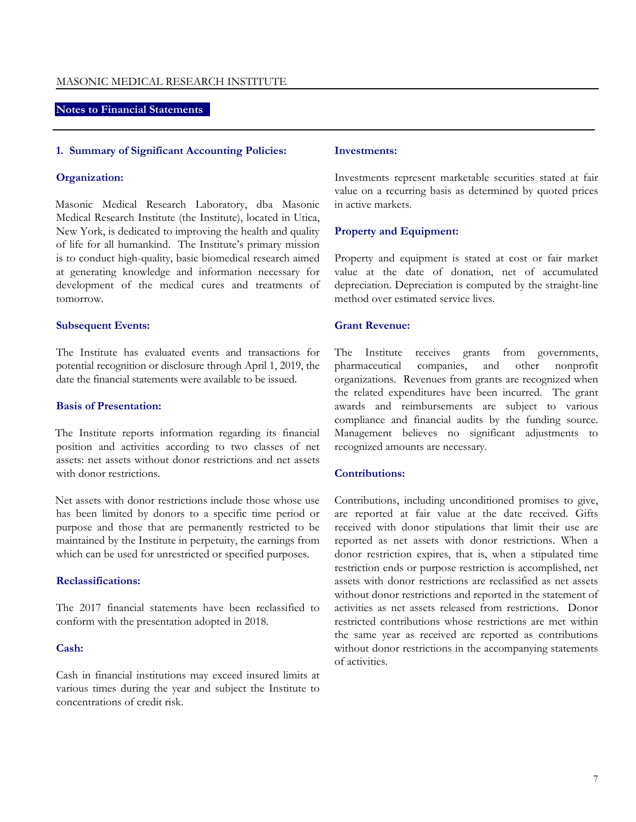## **Notes to Financial Statements**

#### **1. Summary of Significant Accounting Policies:**

#### **Organization:**

Masonic Medical Research Laboratory, dba Masonic Medical Research Institute (the Institute), located in Utica, New York, is dedicated to improving the health and quality of life for all humankind. The Institute's primary mission is to conduct high-quality, basic biomedical research aimed at generating knowledge and information necessary for development of the medical cures and treatments of tomorrow.

## **Subsequent Events:**

The Institute has evaluated events and transactions for potential recognition or disclosure through April 1, 2019, the date the financial statements were available to be issued.

# **Basis of Presentation:**

The Institute reports information regarding its financial position and activities according to two classes of net assets: net assets without donor restrictions and net assets with donor restrictions.

Net assets with donor restrictions include those whose use has been limited by donors to a specific time period or purpose and those that are permanently restricted to be maintained by the Institute in perpetuity, the earnings from which can be used for unrestricted or specified purposes.

#### **Reclassifications:**

The 2017 financial statements have been reclassified to conform with the presentation adopted in 2018.

# **Cash:**

Cash in financial institutions may exceed insured limits at various times during the year and subject the Institute to concentrations of credit risk.

#### **Investments:**

Investments represent marketable securities stated at fair value on a recurring basis as determined by quoted prices in active markets.

#### **Property and Equipment:**

Property and equipment is stated at cost or fair market value at the date of donation, net of accumulated depreciation. Depreciation is computed by the straight-line method over estimated service lives.

# **Grant Revenue:**

The Institute receives grants from governments, pharmaceutical companies, and other nonprofit organizations. Revenues from grants are recognized when the related expenditures have been incurred. The grant awards and reimbursements are subject to various compliance and financial audits by the funding source. Management believes no significant adjustments to recognized amounts are necessary.

## **Contributions:**

Contributions, including unconditioned promises to give, are reported at fair value at the date received. Gifts received with donor stipulations that limit their use are reported as net assets with donor restrictions. When a donor restriction expires, that is, when a stipulated time restriction ends or purpose restriction is accomplished, net assets with donor restrictions are reclassified as net assets without donor restrictions and reported in the statement of activities as net assets released from restrictions. Donor restricted contributions whose restrictions are met within the same year as received are reported as contributions without donor restrictions in the accompanying statements of activities.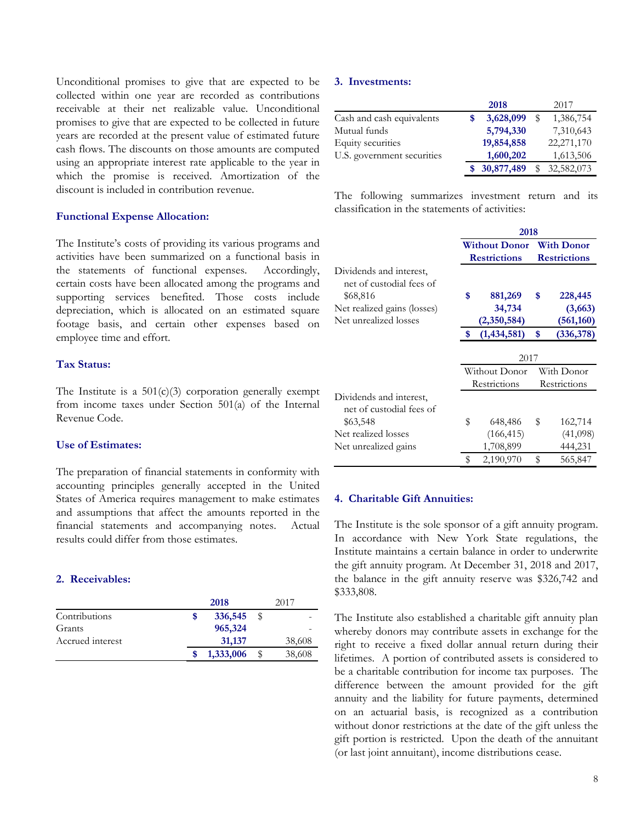Unconditional promises to give that are expected to be collected within one year are recorded as contributions receivable at their net realizable value. Unconditional promises to give that are expected to be collected in future years are recorded at the present value of estimated future cash flows. The discounts on those amounts are computed using an appropriate interest rate applicable to the year in which the promise is received. Amortization of the discount is included in contribution revenue.

#### **Functional Expense Allocation:**

The Institute's costs of providing its various programs and activities have been summarized on a functional basis in the statements of functional expenses. Accordingly, certain costs have been allocated among the programs and supporting services benefited. Those costs include depreciation, which is allocated on an estimated square footage basis, and certain other expenses based on employee time and effort.

#### **Tax Status:**

The Institute is a  $501(c)(3)$  corporation generally exempt from income taxes under Section 501(a) of the Internal Revenue Code.

# **Use of Estimates:**

The preparation of financial statements in conformity with accounting principles generally accepted in the United States of America requires management to make estimates and assumptions that affect the amounts reported in the financial statements and accompanying notes. Actual results could differ from those estimates.

## **2. Receivables:**

|                  |   | 2018      |   | 2017   |
|------------------|---|-----------|---|--------|
| Contributions    | S | 336,545   | S |        |
| Grants           |   | 965,324   |   |        |
| Accrued interest |   | 31,137    |   | 38,608 |
|                  |   | 1,333,006 |   | 38,608 |

#### **3. Investments:**

|                            | 2018       |    | 2017       |
|----------------------------|------------|----|------------|
| Cash and cash equivalents  | 3,628,099  | -S | 1,386,754  |
| Mutual funds               | 5,794,330  |    | 7,310,643  |
| Equity securities          | 19,854,858 |    | 22,271,170 |
| U.S. government securities | 1,600,202  |    | 1,613,506  |
|                            | 30,877,489 |    | 32,582,073 |

The following summarizes investment return and its classification in the statements of activities:

|                                                     |                             | 2018                |              |                     |  |
|-----------------------------------------------------|-----------------------------|---------------------|--------------|---------------------|--|
|                                                     | <b>Without Donor</b>        |                     |              | <b>With Donor</b>   |  |
|                                                     |                             | <b>Restrictions</b> |              | <b>Restrictions</b> |  |
| Dividends and interest,<br>net of custodial fees of |                             |                     |              |                     |  |
| \$68,816                                            | \$                          | 881,269             | \$           | 228,445             |  |
| Net realized gains (losses)                         |                             | 34,734              |              | (3,663)             |  |
| Net unrealized losses                               |                             | (2,350,584)         |              | (561, 160)          |  |
|                                                     | \$                          | (1, 434, 581)       | \$           | (336, 378)          |  |
|                                                     | 2017                        |                     |              |                     |  |
|                                                     | Without Donor<br>With Donor |                     |              |                     |  |
|                                                     |                             | Restrictions        | Restrictions |                     |  |
| Dividends and interest,<br>net of custodial fees of |                             |                     |              |                     |  |
| \$63,548                                            | \$                          | 648,486             | \$           | 162,714             |  |
| Net realized losses                                 |                             | (166, 415)          |              | (41,098)            |  |
| Net unrealized gains                                |                             | 1,708,899           |              | 444,231             |  |
|                                                     | \$                          | 2,190,970           | \$           | 565,847             |  |

#### **4. Charitable Gift Annuities:**

The Institute is the sole sponsor of a gift annuity program. In accordance with New York State regulations, the Institute maintains a certain balance in order to underwrite the gift annuity program. At December 31, 2018 and 2017, the balance in the gift annuity reserve was \$326,742 and \$333,808.

The Institute also established a charitable gift annuity plan whereby donors may contribute assets in exchange for the right to receive a fixed dollar annual return during their lifetimes. A portion of contributed assets is considered to be a charitable contribution for income tax purposes. The difference between the amount provided for the gift annuity and the liability for future payments, determined on an actuarial basis, is recognized as a contribution without donor restrictions at the date of the gift unless the gift portion is restricted. Upon the death of the annuitant (or last joint annuitant), income distributions cease.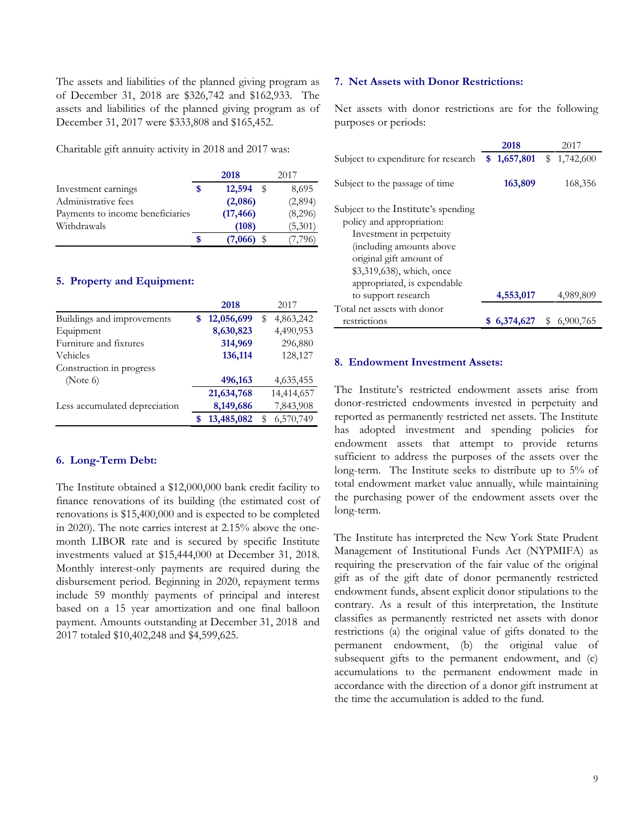The assets and liabilities of the planned giving program as of December 31, 2018 are \$326,742 and \$162,933. The assets and liabilities of the planned giving program as of December 31, 2017 were \$333,808 and \$165,452.

Charitable gift annuity activity in 2018 and 2017 was:

|                                  |   | 2018      | 2017    |
|----------------------------------|---|-----------|---------|
| Investment earnings              | S | 12,594    | 8,695   |
| Administrative fees              |   | (2,086)   | (2,894) |
| Payments to income beneficiaries |   | (17, 466) | (8,296) |
| Withdrawals                      |   | (108)     | (5,301) |
|                                  |   | (7,066)   | 796)    |

# **5. Property and Equipment:**

|                               | 2018             | 2017            |
|-------------------------------|------------------|-----------------|
| Buildings and improvements    | \$<br>12,056,699 | 4,863,242<br>\$ |
| Equipment                     | 8,630,823        | 4,490,953       |
| Furniture and fixtures        | 314,969          | 296,880         |
| Vehicles                      | 136,114          | 128,127         |
| Construction in progress      |                  |                 |
| (Note 6)                      | 496,163          | 4,635,455       |
|                               | 21,634,768       | 14,414,657      |
| Less accumulated depreciation | 8,149,686        | 7,843,908       |
|                               | 13,485,082       | 6,570,749       |

## **6. Long-Term Debt:**

The Institute obtained a \$12,000,000 bank credit facility to finance renovations of its building (the estimated cost of renovations is \$15,400,000 and is expected to be completed in 2020). The note carries interest at 2.15% above the onemonth LIBOR rate and is secured by specific Institute investments valued at \$15,444,000 at December 31, 2018. Monthly interest-only payments are required during the disbursement period. Beginning in 2020, repayment terms include 59 monthly payments of principal and interest based on a 15 year amortization and one final balloon payment. Amounts outstanding at December 31, 2018 and 2017 totaled \$10,402,248 and \$4,599,625.

#### **7. Net Assets with Donor Restrictions:**

Net assets with donor restrictions are for the following purposes or periods:

|                                     | 2018           | 2017           |
|-------------------------------------|----------------|----------------|
| Subject to expenditure for research | \$1,657,801    | \$1,742,600    |
| Subject to the passage of time      | 163,809        | 168,356        |
| Subject to the Institute's spending |                |                |
| policy and appropriation:           |                |                |
| Investment in perpetuity            |                |                |
| including amounts above             |                |                |
| original gift amount of             |                |                |
| \$3,319,638), which, once           |                |                |
| appropriated, is expendable         |                |                |
| to support research                 | 4,553,017      | 4,989,809      |
| Total net assets with donor         |                |                |
| restrictions                        | 6,374,627<br>S | 6,900,765<br>S |

## **8. Endowment Investment Assets:**

The Institute's restricted endowment assets arise from donor-restricted endowments invested in perpetuity and reported as permanently restricted net assets. The Institute has adopted investment and spending policies for endowment assets that attempt to provide returns sufficient to address the purposes of the assets over the long-term. The Institute seeks to distribute up to 5% of total endowment market value annually, while maintaining the purchasing power of the endowment assets over the long-term.

The Institute has interpreted the New York State Prudent Management of Institutional Funds Act (NYPMIFA) as requiring the preservation of the fair value of the original gift as of the gift date of donor permanently restricted endowment funds, absent explicit donor stipulations to the contrary. As a result of this interpretation, the Institute classifies as permanently restricted net assets with donor restrictions (a) the original value of gifts donated to the permanent endowment, (b) the original value of subsequent gifts to the permanent endowment, and (c) accumulations to the permanent endowment made in accordance with the direction of a donor gift instrument at the time the accumulation is added to the fund.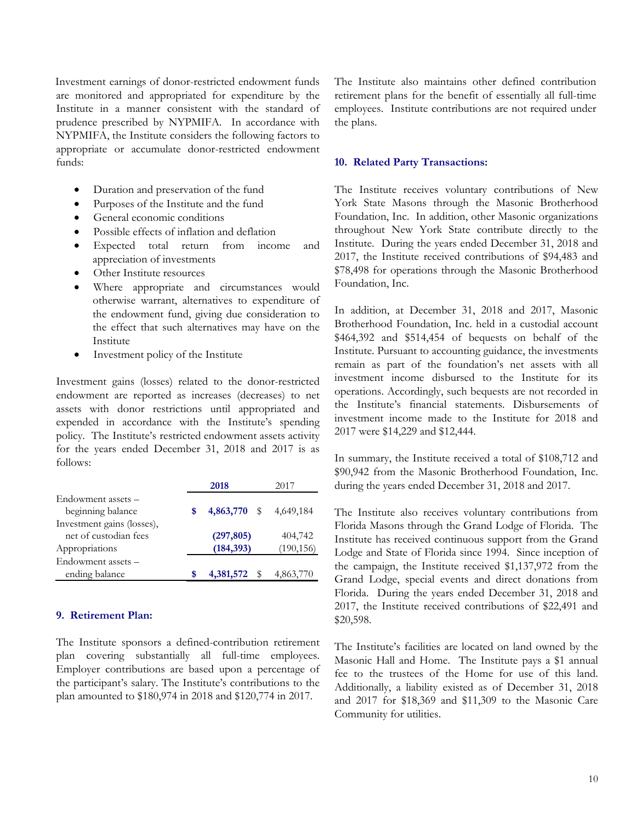Investment earnings of donor-restricted endowment funds are monitored and appropriated for expenditure by the Institute in a manner consistent with the standard of prudence prescribed by NYPMIFA. In accordance with NYPMIFA, the Institute considers the following factors to appropriate or accumulate donor-restricted endowment funds:

- Duration and preservation of the fund
- Purposes of the Institute and the fund
- General economic conditions
- Possible effects of inflation and deflation
- Expected total return from income and appreciation of investments
- Other Institute resources
- Where appropriate and circumstances would otherwise warrant, alternatives to expenditure of the endowment fund, giving due consideration to the effect that such alternatives may have on the Institute
- Investment policy of the Institute

Investment gains (losses) related to the donor-restricted endowment are reported as increases (decreases) to net assets with donor restrictions until appropriated and expended in accordance with the Institute's spending policy. The Institute's restricted endowment assets activity for the years ended December 31, 2018 and 2017 is as follows:

|                            | 2018            | 2017       |
|----------------------------|-----------------|------------|
| Endowment assets -         |                 |            |
| beginning balance          | 4,863,770 \$    | 4,649,184  |
| Investment gains (losses), |                 |            |
| net of custodian fees      | (297, 805)      | 404,742    |
| Appropriations             | (184, 393)      | (190, 156) |
| Endowment assets -         |                 |            |
| ending balance             | 4,381,572<br>-S | 4,863,770  |

## **9. Retirement Plan:**

The Institute sponsors a defined-contribution retirement plan covering substantially all full-time employees. Employer contributions are based upon a percentage of the participant's salary. The Institute's contributions to the plan amounted to \$180,974 in 2018 and \$120,774 in 2017.

The Institute also maintains other defined contribution retirement plans for the benefit of essentially all full-time employees. Institute contributions are not required under the plans.

#### **10. Related Party Transactions:**

The Institute receives voluntary contributions of New York State Masons through the Masonic Brotherhood Foundation, Inc. In addition, other Masonic organizations throughout New York State contribute directly to the Institute. During the years ended December 31, 2018 and 2017, the Institute received contributions of \$94,483 and \$78,498 for operations through the Masonic Brotherhood Foundation, Inc.

In addition, at December 31, 2018 and 2017, Masonic Brotherhood Foundation, Inc. held in a custodial account \$464,392 and \$514,454 of bequests on behalf of the Institute. Pursuant to accounting guidance, the investments remain as part of the foundation's net assets with all investment income disbursed to the Institute for its operations. Accordingly, such bequests are not recorded in the Institute's financial statements. Disbursements of investment income made to the Institute for 2018 and 2017 were \$14,229 and \$12,444.

In summary, the Institute received a total of \$108,712 and \$90,942 from the Masonic Brotherhood Foundation, Inc. during the years ended December 31, 2018 and 2017.

The Institute also receives voluntary contributions from Florida Masons through the Grand Lodge of Florida. The Institute has received continuous support from the Grand Lodge and State of Florida since 1994. Since inception of the campaign, the Institute received \$1,137,972 from the Grand Lodge, special events and direct donations from Florida. During the years ended December 31, 2018 and 2017, the Institute received contributions of \$22,491 and \$20,598.

The Institute's facilities are located on land owned by the Masonic Hall and Home. The Institute pays a \$1 annual fee to the trustees of the Home for use of this land. Additionally, a liability existed as of December 31, 2018 and 2017 for \$18,369 and \$11,309 to the Masonic Care Community for utilities.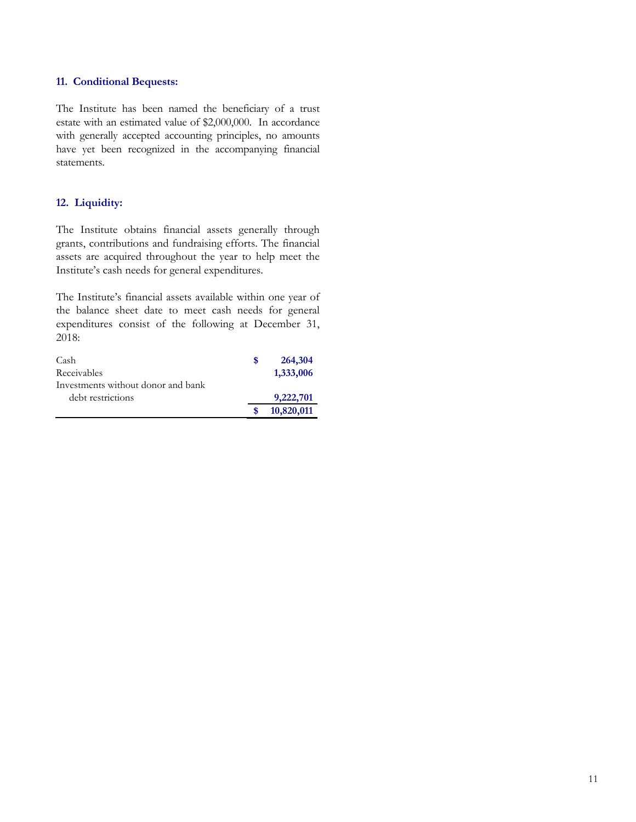## **11. Conditional Bequests:**

The Institute has been named the beneficiary of a trust estate with an estimated value of \$2,000,000. In accordance with generally accepted accounting principles, no amounts have yet been recognized in the accompanying financial statements.

# **12. Liquidity:**

The Institute obtains financial assets generally through grants, contributions and fundraising efforts. The financial assets are acquired throughout the year to help meet the Institute's cash needs for general expenditures.

The Institute's financial assets available within one year of the balance sheet date to meet cash needs for general expenditures consist of the following at December 31, 2018:

| Cash                               | S | 264,304    |
|------------------------------------|---|------------|
| Receivables                        |   | 1,333,006  |
| Investments without donor and bank |   |            |
| debt restrictions                  |   | 9,222,701  |
|                                    |   | 10,820,011 |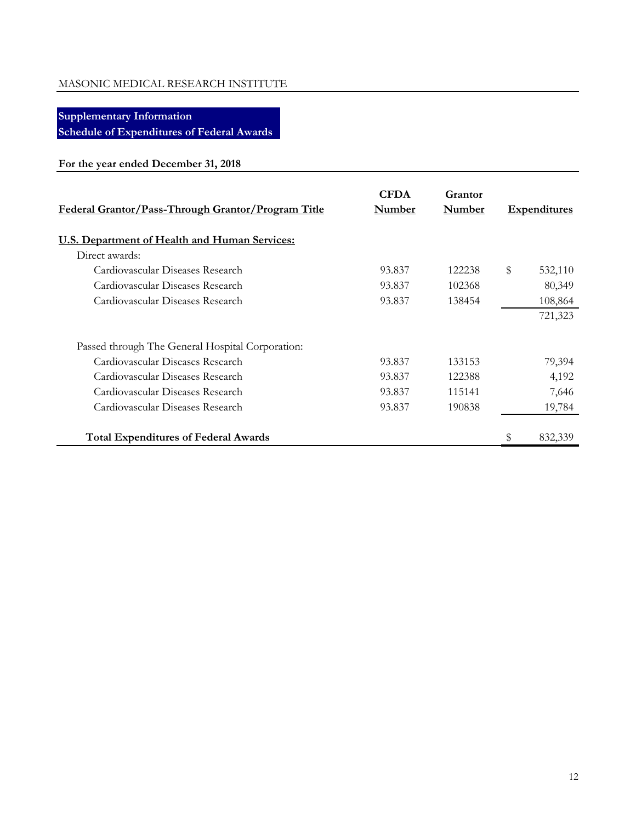# **Supplementary Information Schedule of Expenditures of Federal Awards**

# **For the year ended December 31, 2018**

| Federal Grantor/Pass-Through Grantor/Program Title   | <b>CFDA</b><br>Number | Grantor<br><b>Number</b> | <b>Expenditures</b> |
|------------------------------------------------------|-----------------------|--------------------------|---------------------|
| <b>U.S. Department of Health and Human Services:</b> |                       |                          |                     |
| Direct awards:                                       |                       |                          |                     |
| Cardiovascular Diseases Research                     | 93.837                | 122238                   | \$<br>532,110       |
| Cardiovascular Diseases Research                     | 93.837                | 102368                   | 80,349              |
| Cardiovascular Diseases Research                     | 93.837                | 138454                   | 108,864             |
|                                                      |                       |                          | 721,323             |
| Passed through The General Hospital Corporation:     |                       |                          |                     |
| Cardiovascular Diseases Research                     | 93.837                | 133153                   | 79,394              |
| Cardiovascular Diseases Research                     | 93.837                | 122388                   | 4,192               |
| Cardiovascular Diseases Research                     | 93.837                | 115141                   | 7,646               |
| Cardiovascular Diseases Research                     | 93.837                | 190838                   | 19,784              |
| <b>Total Expenditures of Federal Awards</b>          |                       |                          | \$<br>832,339       |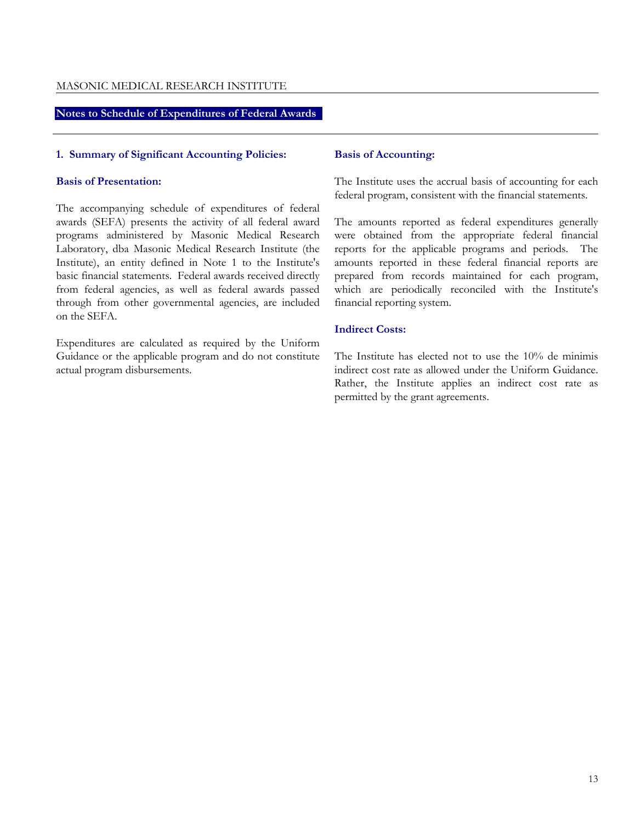# **Notes to Schedule of Expenditures of Federal Awards**

## **1. Summary of Significant Accounting Policies:**

## **Basis of Presentation:**

The accompanying schedule of expenditures of federal awards (SEFA) presents the activity of all federal award programs administered by Masonic Medical Research Laboratory, dba Masonic Medical Research Institute (the Institute), an entity defined in Note 1 to the Institute's basic financial statements. Federal awards received directly from federal agencies, as well as federal awards passed through from other governmental agencies, are included on the SEFA.

Expenditures are calculated as required by the Uniform Guidance or the applicable program and do not constitute actual program disbursements.

## **Basis of Accounting:**

The Institute uses the accrual basis of accounting for each federal program, consistent with the financial statements.

The amounts reported as federal expenditures generally were obtained from the appropriate federal financial reports for the applicable programs and periods. The amounts reported in these federal financial reports are prepared from records maintained for each program, which are periodically reconciled with the Institute's financial reporting system.

## **Indirect Costs:**

The Institute has elected not to use the 10% de minimis indirect cost rate as allowed under the Uniform Guidance. Rather, the Institute applies an indirect cost rate as permitted by the grant agreements.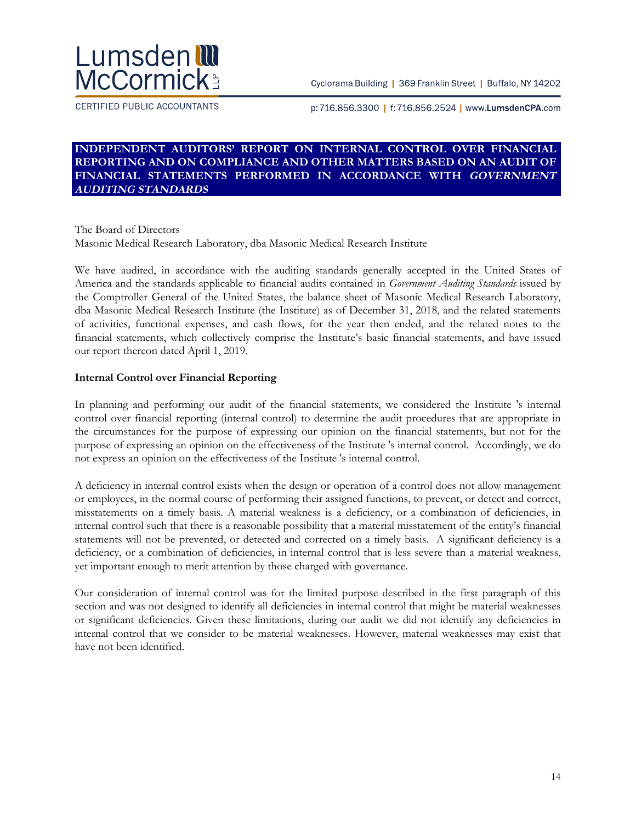

Cyclorama Building | 369 Franklin Street | Buffalo, NY 14202

CERTIFIED PUBLIC ACCOUNTANTS

p:716.856.3300 | f:716.856.2524 | www.LumsdenCPA.com

# **INDEPENDENT AUDITORS' REPORT ON INTERNAL CONTROL OVER FINANCIAL REPORTING AND ON COMPLIANCE AND OTHER MATTERS BASED ON AN AUDIT OF FINANCIAL STATEMENTS PERFORMED IN ACCORDANCE WITH GOVERNMENT AUDITING STANDARDS**

The Board of Directors Masonic Medical Research Laboratory, dba Masonic Medical Research Institute

We have audited, in accordance with the auditing standards generally accepted in the United States of America and the standards applicable to financial audits contained in *Government Auditing Standards* issued by the Comptroller General of the United States, the balance sheet of Masonic Medical Research Laboratory, dba Masonic Medical Research Institute (the Institute) as of December 31, 2018, and the related statements of activities, functional expenses, and cash flows, for the year then ended, and the related notes to the financial statements, which collectively comprise the Institute's basic financial statements, and have issued our report thereon dated April 1, 2019.

# **Internal Control over Financial Reporting**

In planning and performing our audit of the financial statements, we considered the Institute 's internal control over financial reporting (internal control) to determine the audit procedures that are appropriate in the circumstances for the purpose of expressing our opinion on the financial statements, but not for the purpose of expressing an opinion on the effectiveness of the Institute 's internal control. Accordingly, we do not express an opinion on the effectiveness of the Institute 's internal control.

A deficiency in internal control exists when the design or operation of a control does not allow management or employees, in the normal course of performing their assigned functions, to prevent, or detect and correct, misstatements on a timely basis. A material weakness is a deficiency, or a combination of deficiencies, in internal control such that there is a reasonable possibility that a material misstatement of the entity's financial statements will not be prevented, or detected and corrected on a timely basis. A significant deficiency is a deficiency, or a combination of deficiencies, in internal control that is less severe than a material weakness, yet important enough to merit attention by those charged with governance.

Our consideration of internal control was for the limited purpose described in the first paragraph of this section and was not designed to identify all deficiencies in internal control that might be material weaknesses or significant deficiencies. Given these limitations, during our audit we did not identify any deficiencies in internal control that we consider to be material weaknesses. However, material weaknesses may exist that have not been identified.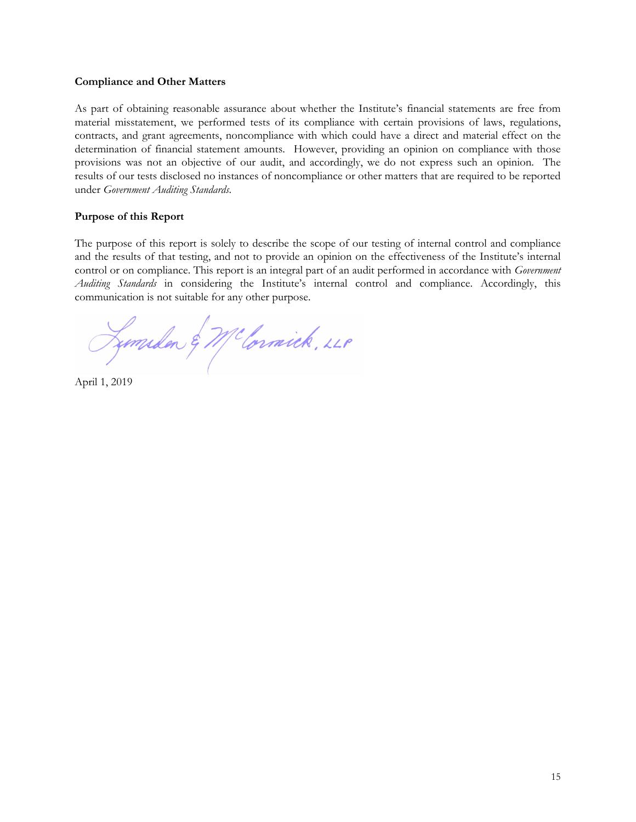## **Compliance and Other Matters**

As part of obtaining reasonable assurance about whether the Institute's financial statements are free from material misstatement, we performed tests of its compliance with certain provisions of laws, regulations, contracts, and grant agreements, noncompliance with which could have a direct and material effect on the determination of financial statement amounts. However, providing an opinion on compliance with those provisions was not an objective of our audit, and accordingly, we do not express such an opinion. The results of our tests disclosed no instances of noncompliance or other matters that are required to be reported under *Government Auditing Standards*.

# **Purpose of this Report**

The purpose of this report is solely to describe the scope of our testing of internal control and compliance and the results of that testing, and not to provide an opinion on the effectiveness of the Institute's internal control or on compliance. This report is an integral part of an audit performed in accordance with *Government Auditing Standards* in considering the Institute's internal control and compliance. Accordingly, this communication is not suitable for any other purpose.

Simila & McCornick, 228

April 1, 2019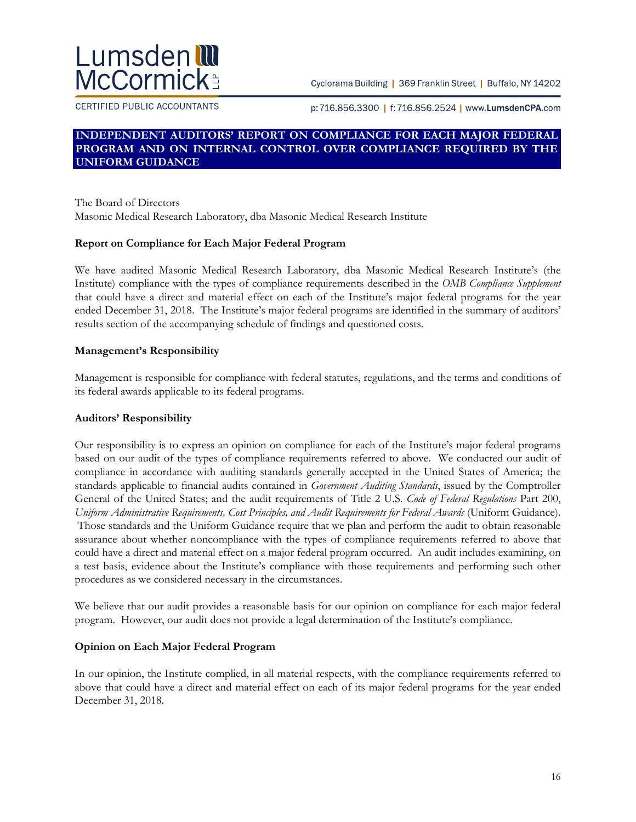# Lumsden**III McCormick:**

Cyclorama Building | 369 Franklin Street | Buffalo, NY 14202

CERTIFIED PUBLIC ACCOUNTANTS

p:716.856.3300 | f:716.856.2524 | www.LumsdenCPA.com

# **INDEPENDENT AUDITORS' REPORT ON COMPLIANCE FOR EACH MAJOR FEDERAL PROGRAM AND ON INTERNAL CONTROL OVER COMPLIANCE REQUIRED BY THE UNIFORM GUIDANCE**

The Board of Directors Masonic Medical Research Laboratory, dba Masonic Medical Research Institute

# **Report on Compliance for Each Major Federal Program**

We have audited Masonic Medical Research Laboratory, dba Masonic Medical Research Institute's (the Institute) compliance with the types of compliance requirements described in the *OMB Compliance Supplement* that could have a direct and material effect on each of the Institute's major federal programs for the year ended December 31, 2018. The Institute's major federal programs are identified in the summary of auditors' results section of the accompanying schedule of findings and questioned costs.

# **Management's Responsibility**

Management is responsible for compliance with federal statutes, regulations, and the terms and conditions of its federal awards applicable to its federal programs.

## **Auditors' Responsibility**

Our responsibility is to express an opinion on compliance for each of the Institute's major federal programs based on our audit of the types of compliance requirements referred to above. We conducted our audit of compliance in accordance with auditing standards generally accepted in the United States of America; the standards applicable to financial audits contained in *Government Auditing Standards*, issued by the Comptroller General of the United States; and the audit requirements of Title 2 U.S. *Code of Federal Regulations* Part 200, *Uniform Administrative Requirements, Cost Principles, and Audit Requirements for Federal Awards* (Uniform Guidance). Those standards and the Uniform Guidance require that we plan and perform the audit to obtain reasonable assurance about whether noncompliance with the types of compliance requirements referred to above that could have a direct and material effect on a major federal program occurred. An audit includes examining, on a test basis, evidence about the Institute's compliance with those requirements and performing such other procedures as we considered necessary in the circumstances.

We believe that our audit provides a reasonable basis for our opinion on compliance for each major federal program. However, our audit does not provide a legal determination of the Institute's compliance.

# **Opinion on Each Major Federal Program**

In our opinion, the Institute complied, in all material respects, with the compliance requirements referred to above that could have a direct and material effect on each of its major federal programs for the year ended December 31, 2018.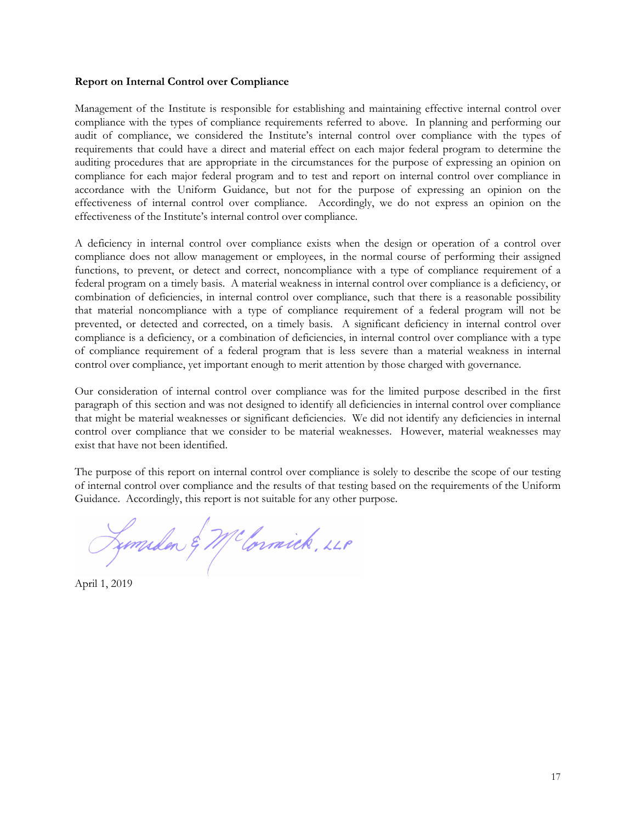## **Report on Internal Control over Compliance**

Management of the Institute is responsible for establishing and maintaining effective internal control over compliance with the types of compliance requirements referred to above. In planning and performing our audit of compliance, we considered the Institute's internal control over compliance with the types of requirements that could have a direct and material effect on each major federal program to determine the auditing procedures that are appropriate in the circumstances for the purpose of expressing an opinion on compliance for each major federal program and to test and report on internal control over compliance in accordance with the Uniform Guidance, but not for the purpose of expressing an opinion on the effectiveness of internal control over compliance. Accordingly, we do not express an opinion on the effectiveness of the Institute's internal control over compliance.

A deficiency in internal control over compliance exists when the design or operation of a control over compliance does not allow management or employees, in the normal course of performing their assigned functions, to prevent, or detect and correct, noncompliance with a type of compliance requirement of a federal program on a timely basis. A material weakness in internal control over compliance is a deficiency, or combination of deficiencies, in internal control over compliance, such that there is a reasonable possibility that material noncompliance with a type of compliance requirement of a federal program will not be prevented, or detected and corrected, on a timely basis. A significant deficiency in internal control over compliance is a deficiency, or a combination of deficiencies, in internal control over compliance with a type of compliance requirement of a federal program that is less severe than a material weakness in internal control over compliance, yet important enough to merit attention by those charged with governance.

Our consideration of internal control over compliance was for the limited purpose described in the first paragraph of this section and was not designed to identify all deficiencies in internal control over compliance that might be material weaknesses or significant deficiencies. We did not identify any deficiencies in internal control over compliance that we consider to be material weaknesses. However, material weaknesses may exist that have not been identified.

The purpose of this report on internal control over compliance is solely to describe the scope of our testing of internal control over compliance and the results of that testing based on the requirements of the Uniform Guidance. Accordingly, this report is not suitable for any other purpose.

Symulen & McCornick, 228

April 1, 2019